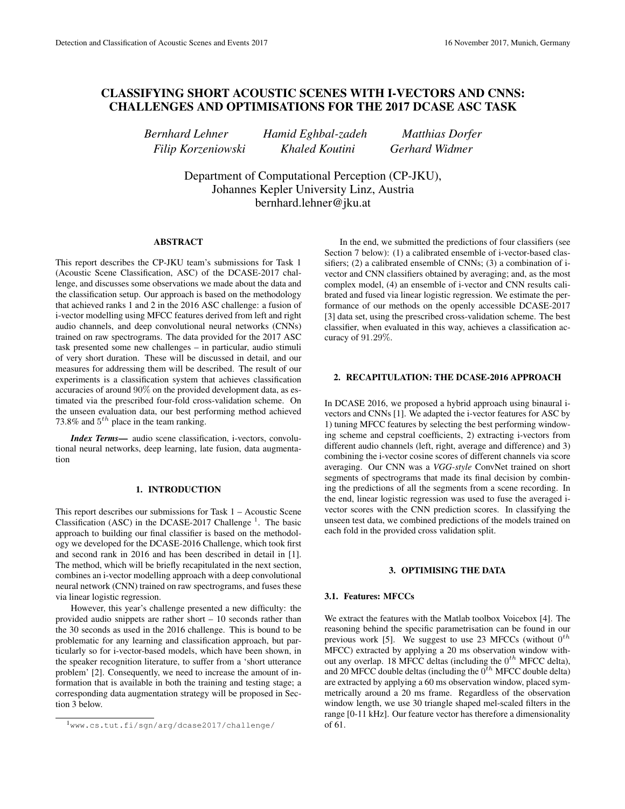# CLASSIFYING SHORT ACOUSTIC SCENES WITH I-VECTORS AND CNNS: CHALLENGES AND OPTIMISATIONS FOR THE 2017 DCASE ASC TASK

*Bernhard Lehner Hamid Eghbal-zadeh Matthias Dorfer Filip Korzeniowski Khaled Koutini Gerhard Widmer*

Department of Computational Perception (CP-JKU), Johannes Kepler University Linz, Austria bernhard.lehner@jku.at

#### ABSTRACT

This report describes the CP-JKU team's submissions for Task 1 (Acoustic Scene Classification, ASC) of the DCASE-2017 challenge, and discusses some observations we made about the data and the classification setup. Our approach is based on the methodology that achieved ranks 1 and 2 in the 2016 ASC challenge: a fusion of i-vector modelling using MFCC features derived from left and right audio channels, and deep convolutional neural networks (CNNs) trained on raw spectrograms. The data provided for the 2017 ASC task presented some new challenges – in particular, audio stimuli of very short duration. These will be discussed in detail, and our measures for addressing them will be described. The result of our experiments is a classification system that achieves classification accuracies of around 90% on the provided development data, as estimated via the prescribed four-fold cross-validation scheme. On the unseen evaluation data, our best performing method achieved 73.8% and  $5^{th}$  place in the team ranking.

*Index Terms*— audio scene classification, i-vectors, convolutional neural networks, deep learning, late fusion, data augmentation

# 1. INTRODUCTION

This report describes our submissions for Task 1 – Acoustic Scene Classification (ASC) in the DCASE-2017 Challenge<sup>1</sup>. The basic approach to building our final classifier is based on the methodology we developed for the DCASE-2016 Challenge, which took first and second rank in 2016 and has been described in detail in [1]. The method, which will be briefly recapitulated in the next section, combines an i-vector modelling approach with a deep convolutional neural network (CNN) trained on raw spectrograms, and fuses these via linear logistic regression.

However, this year's challenge presented a new difficulty: the provided audio snippets are rather short – 10 seconds rather than the 30 seconds as used in the 2016 challenge. This is bound to be problematic for any learning and classification approach, but particularly so for i-vector-based models, which have been shown, in the speaker recognition literature, to suffer from a 'short utterance problem' [2]. Consequently, we need to increase the amount of information that is available in both the training and testing stage; a corresponding data augmentation strategy will be proposed in Section 3 below.

In the end, we submitted the predictions of four classifiers (see Section 7 below): (1) a calibrated ensemble of i-vector-based classifiers; (2) a calibrated ensemble of CNNs; (3) a combination of ivector and CNN classifiers obtained by averaging; and, as the most complex model, (4) an ensemble of i-vector and CNN results calibrated and fused via linear logistic regression. We estimate the performance of our methods on the openly accessible DCASE-2017 [3] data set, using the prescribed cross-validation scheme. The best classifier, when evaluated in this way, achieves a classification accuracy of 91.29%.

# 2. RECAPITULATION: THE DCASE-2016 APPROACH

In DCASE 2016, we proposed a hybrid approach using binaural ivectors and CNNs [1]. We adapted the i-vector features for ASC by 1) tuning MFCC features by selecting the best performing windowing scheme and cepstral coefficients, 2) extracting i-vectors from different audio channels (left, right, average and difference) and 3) combining the i-vector cosine scores of different channels via score averaging. Our CNN was a *VGG-style* ConvNet trained on short segments of spectrograms that made its final decision by combining the predictions of all the segments from a scene recording. In the end, linear logistic regression was used to fuse the averaged ivector scores with the CNN prediction scores. In classifying the unseen test data, we combined predictions of the models trained on each fold in the provided cross validation split.

#### 3. OPTIMISING THE DATA

# 3.1. Features: MFCCs

We extract the features with the Matlab toolbox Voicebox [4]. The reasoning behind the specific parametrisation can be found in our previous work [5]. We suggest to use 23 MFCCs (without  $0^{th}$ MFCC) extracted by applying a 20 ms observation window without any overlap. 18 MFCC deltas (including the  $0^{th}$  MFCC delta), and 20 MFCC double deltas (including the  $0^{th}$  MFCC double delta) are extracted by applying a 60 ms observation window, placed symmetrically around a 20 ms frame. Regardless of the observation window length, we use 30 triangle shaped mel-scaled filters in the range [0-11 kHz]. Our feature vector has therefore a dimensionality of 61.

<sup>1</sup>www.cs.tut.fi/sgn/arg/dcase2017/challenge/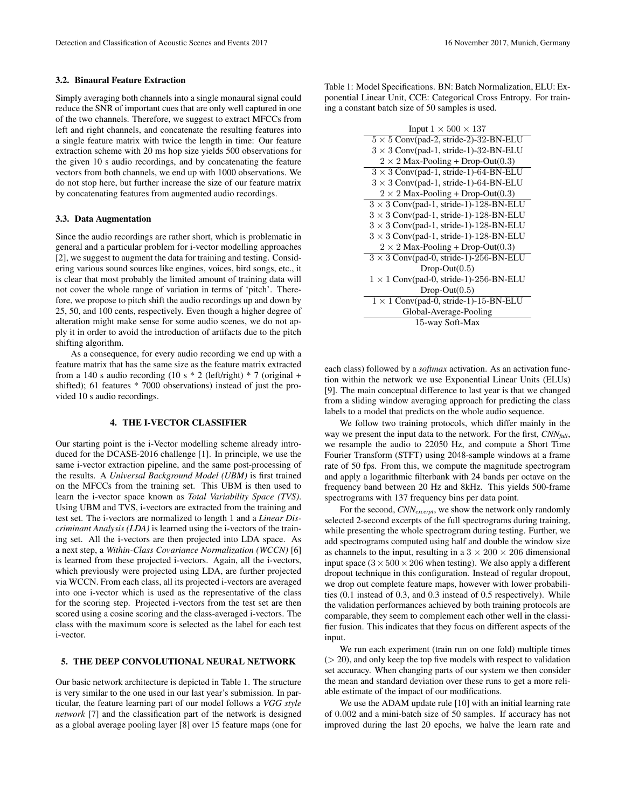#### 3.2. Binaural Feature Extraction

Simply averaging both channels into a single monaural signal could reduce the SNR of important cues that are only well captured in one of the two channels. Therefore, we suggest to extract MFCCs from left and right channels, and concatenate the resulting features into a single feature matrix with twice the length in time: Our feature extraction scheme with 20 ms hop size yields 500 observations for the given 10 s audio recordings, and by concatenating the feature vectors from both channels, we end up with 1000 observations. We do not stop here, but further increase the size of our feature matrix by concatenating features from augmented audio recordings.

## 3.3. Data Augmentation

Since the audio recordings are rather short, which is problematic in general and a particular problem for i-vector modelling approaches [2], we suggest to augment the data for training and testing. Considering various sound sources like engines, voices, bird songs, etc., it is clear that most probably the limited amount of training data will not cover the whole range of variation in terms of 'pitch'. Therefore, we propose to pitch shift the audio recordings up and down by 25, 50, and 100 cents, respectively. Even though a higher degree of alteration might make sense for some audio scenes, we do not apply it in order to avoid the introduction of artifacts due to the pitch shifting algorithm.

As a consequence, for every audio recording we end up with a feature matrix that has the same size as the feature matrix extracted from a 140 s audio recording (10 s \* 2 (left/right) \* 7 (original + shifted); 61 features \* 7000 observations) instead of just the provided 10 s audio recordings.

#### 4. THE I-VECTOR CLASSIFIER

Our starting point is the i-Vector modelling scheme already introduced for the DCASE-2016 challenge [1]. In principle, we use the same i-vector extraction pipeline, and the same post-processing of the results. A *Universal Background Model (UBM)* is first trained on the MFCCs from the training set. This UBM is then used to learn the i-vector space known as *Total Variability Space (TVS)*. Using UBM and TVS, i-vectors are extracted from the training and test set. The i-vectors are normalized to length 1 and a *Linear Discriminant Analysis (LDA)* is learned using the i-vectors of the training set. All the i-vectors are then projected into LDA space. As a next step, a *Within-Class Covariance Normalization (WCCN)* [6] is learned from these projected i-vectors. Again, all the i-vectors, which previously were projected using LDA, are further projected via WCCN. From each class, all its projected i-vectors are averaged into one i-vector which is used as the representative of the class for the scoring step. Projected i-vectors from the test set are then scored using a cosine scoring and the class-averaged i-vectors. The class with the maximum score is selected as the label for each test i-vector.

#### 5. THE DEEP CONVOLUTIONAL NEURAL NETWORK

Our basic network architecture is depicted in Table 1. The structure is very similar to the one used in our last year's submission. In particular, the feature learning part of our model follows a *VGG style network* [7] and the classification part of the network is designed as a global average pooling layer [8] over 15 feature maps (one for Table 1: Model Specifications. BN: Batch Normalization, ELU: Exponential Linear Unit, CCE: Categorical Cross Entropy. For training a constant batch size of 50 samples is used.

| Input $1 \times 500 \times 137$               |
|-----------------------------------------------|
| $5 \times 5$ Conv(pad-2, stride-2)-32-BN-ELU  |
| $3 \times 3$ Conv(pad-1, stride-1)-32-BN-ELU  |
| $2 \times 2$ Max-Pooling + Drop-Out(0.3)      |
| $3 \times 3$ Conv(pad-1, stride-1)-64-BN-ELU  |
| $3 \times 3$ Conv(pad-1, stride-1)-64-BN-ELU  |
| $2 \times 2$ Max-Pooling + Drop-Out(0.3)      |
| $3 \times 3$ Conv(pad-1, stride-1)-128-BN-ELU |
| $3 \times 3$ Conv(pad-1, stride-1)-128-BN-ELU |
| $3 \times 3$ Conv(pad-1, stride-1)-128-BN-ELU |
| $3 \times 3$ Conv(pad-1, stride-1)-128-BN-ELU |
| $2 \times 2$ Max-Pooling + Drop-Out(0.3)      |
| $3 \times 3$ Conv(pad-0, stride-1)-256-BN-ELU |
| $Drop-Out(0.5)$                               |
| $1 \times 1$ Conv(pad-0, stride-1)-256-BN-ELU |
| $Drop-Out(0.5)$                               |
| $1 \times 1$ Conv(pad-0, stride-1)-15-BN-ELU  |
| Global-Average-Pooling                        |
| 15-way Soft-Max                               |

each class) followed by a *softmax* activation. As an activation function within the network we use Exponential Linear Units (ELUs) [9]. The main conceptual difference to last year is that we changed from a sliding window averaging approach for predicting the class labels to a model that predicts on the whole audio sequence.

We follow two training protocols, which differ mainly in the way we present the input data to the network. For the first, *CNNfull*, we resample the audio to 22050 Hz, and compute a Short Time Fourier Transform (STFT) using 2048-sample windows at a frame rate of 50 fps. From this, we compute the magnitude spectrogram and apply a logarithmic filterbank with 24 bands per octave on the frequency band between 20 Hz and 8kHz. This yields 500-frame spectrograms with 137 frequency bins per data point.

For the second, *CNN*<sub>excernt</sub>, we show the network only randomly selected 2-second excerpts of the full spectrograms during training, while presenting the whole spectrogram during testing. Further, we add spectrograms computed using half and double the window size as channels to the input, resulting in a  $3 \times 200 \times 206$  dimensional input space ( $3 \times 500 \times 206$  when testing). We also apply a different dropout technique in this configuration. Instead of regular dropout, we drop out complete feature maps, however with lower probabilities (0.1 instead of 0.3, and 0.3 instead of 0.5 respectively). While the validation performances achieved by both training protocols are comparable, they seem to complement each other well in the classifier fusion. This indicates that they focus on different aspects of the input.

We run each experiment (train run on one fold) multiple times  $(> 20)$ , and only keep the top five models with respect to validation set accuracy. When changing parts of our system we then consider the mean and standard deviation over these runs to get a more reliable estimate of the impact of our modifications.

We use the ADAM update rule [10] with an initial learning rate of 0.002 and a mini-batch size of 50 samples. If accuracy has not improved during the last 20 epochs, we halve the learn rate and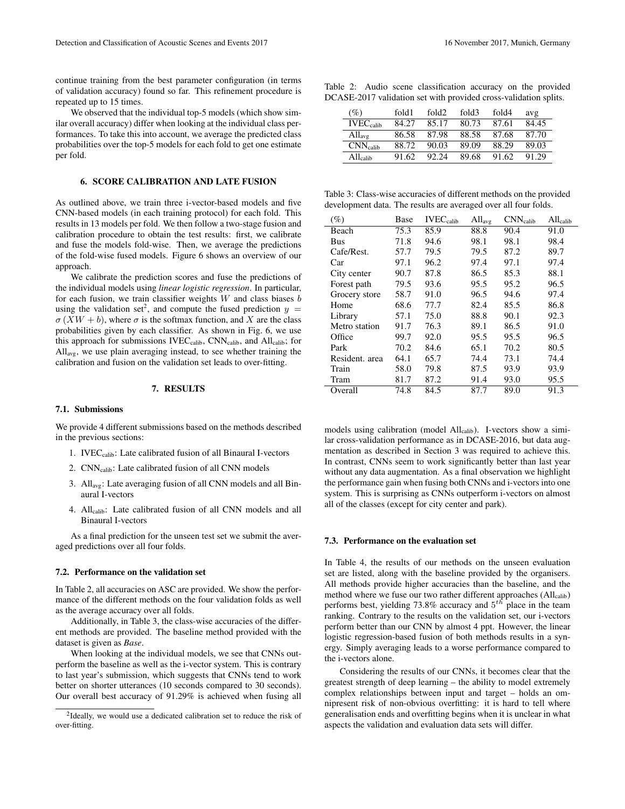continue training from the best parameter configuration (in terms of validation accuracy) found so far. This refinement procedure is repeated up to 15 times.

We observed that the individual top-5 models (which show similar overall accuracy) differ when looking at the individual class performances. To take this into account, we average the predicted class probabilities over the top-5 models for each fold to get one estimate per fold.

# 6. SCORE CALIBRATION AND LATE FUSION

As outlined above, we train three i-vector-based models and five CNN-based models (in each training protocol) for each fold. This results in 13 models per fold. We then follow a two-stage fusion and calibration procedure to obtain the test results: first, we calibrate and fuse the models fold-wise. Then, we average the predictions of the fold-wise fused models. Figure 6 shows an overview of our approach.

We calibrate the prediction scores and fuse the predictions of the individual models using *linear logistic regression*. In particular, for each fusion, we train classifier weights  $W$  and class biases  $b$ using the validation set<sup>2</sup>, and compute the fused prediction  $y =$  $\sigma$  (XW + b), where  $\sigma$  is the softmax function, and X are the class probabilities given by each classifier. As shown in Fig. 6, we use this approach for submissions IVEC<sub>calib</sub>, CNN<sub>calib</sub>, and All<sub>calib</sub>; for Allavg, we use plain averaging instead, to see whether training the calibration and fusion on the validation set leads to over-fitting.

## 7. RESULTS

#### 7.1. Submissions

We provide 4 different submissions based on the methods described in the previous sections:

- 1. IVEC<sub>calib</sub>: Late calibrated fusion of all Binaural I-vectors
- 2. CNNcalib: Late calibrated fusion of all CNN models
- 3. Allavg: Late averaging fusion of all CNN models and all Binaural I-vectors
- 4. Allcalib: Late calibrated fusion of all CNN models and all Binaural I-vectors

As a final prediction for the unseen test set we submit the averaged predictions over all four folds.

#### 7.2. Performance on the validation set

In Table 2, all accuracies on ASC are provided. We show the performance of the different methods on the four validation folds as well as the average accuracy over all folds.

Additionally, in Table 3, the class-wise accuracies of the different methods are provided. The baseline method provided with the dataset is given as *Base*.

When looking at the individual models, we see that CNNs outperform the baseline as well as the i-vector system. This is contrary to last year's submission, which suggests that CNNs tend to work better on shorter utterances (10 seconds compared to 30 seconds). Our overall best accuracy of 91.29% is achieved when fusing all

|  |  | Table 2: Audio scene classification accuracy on the provided     |  |  |
|--|--|------------------------------------------------------------------|--|--|
|  |  | DCASE-2017 validation set with provided cross-validation splits. |  |  |

| (%)            | fold1 | fold <sub>2</sub> | fold3 | fold4 | avg   |
|----------------|-------|-------------------|-------|-------|-------|
| $IVEC_{calib}$ | 84.27 | 85.17             | 80.73 | 87.61 | 84.45 |
| $All_{avg}$    | 86.58 | 87.98             | 88.58 | 87.68 | 87.70 |
| $CNN_{calib}$  | 88.72 | 90.03             | 89.09 | 88.29 | 89.03 |
| $All_{calib}$  | 91.62 | 92.24             | 89.68 | 91.62 | 91.29 |

Table 3: Class-wise accuracies of different methods on the provided development data. The results are averaged over all four folds.

| $(\%)$         | Base | $IVEC_{calib}$ | $All_{avg}$ | $CNN_{calib}$ | $All_{calib}$ |
|----------------|------|----------------|-------------|---------------|---------------|
| Beach          | 75.3 | 85.9           | 88.8        | 90.4          | 91.0          |
| Bus            | 71.8 | 94.6           | 98.1        | 98.1          | 98.4          |
| Cafe/Rest.     | 57.7 | 79.5           | 79.5        | 87.2          | 89.7          |
| Car            | 97.1 | 96.2           | 97.4        | 97.1          | 97.4          |
| City center    | 90.7 | 87.8           | 86.5        | 85.3          | 88.1          |
| Forest path    | 79.5 | 93.6           | 95.5        | 95.2          | 96.5          |
| Grocery store  | 58.7 | 91.0           | 96.5        | 94.6          | 97.4          |
| Home           | 68.6 | 77.7           | 82.4        | 85.5          | 86.8          |
| Library        | 57.1 | 75.0           | 88.8        | 90.1          | 92.3          |
| Metro station  | 91.7 | 76.3           | 89.1        | 86.5          | 91.0          |
| Office         | 99.7 | 92.0           | 95.5        | 95.5          | 96.5          |
| Park           | 70.2 | 84.6           | 65.1        | 70.2          | 80.5          |
| Resident, area | 64.1 | 65.7           | 74.4        | 73.1          | 74.4          |
| Train          | 58.0 | 79.8           | 87.5        | 93.9          | 93.9          |
| Tram           | 81.7 | 87.2           | 91.4        | 93.0          | 95.5          |
| Overall        | 74.8 | 84.5           | 87.7        | 89.0          | 91.3          |

models using calibration (model All<sub>calib</sub>). I-vectors show a similar cross-validation performance as in DCASE-2016, but data augmentation as described in Section 3 was required to achieve this. In contrast, CNNs seem to work significantly better than last year without any data augmentation. As a final observation we highlight the performance gain when fusing both CNNs and i-vectors into one system. This is surprising as CNNs outperform i-vectors on almost all of the classes (except for city center and park).

#### 7.3. Performance on the evaluation set

In Table 4, the results of our methods on the unseen evaluation set are listed, along with the baseline provided by the organisers. All methods provide higher accuracies than the baseline, and the method where we fuse our two rather different approaches (Allcalib) performs best, yielding 73.8% accuracy and  $5^{th}$  place in the team ranking. Contrary to the results on the validation set, our i-vectors perform better than our CNN by almost 4 ppt. However, the linear logistic regression-based fusion of both methods results in a synergy. Simply averaging leads to a worse performance compared to the i-vectors alone.

Considering the results of our CNNs, it becomes clear that the greatest strength of deep learning – the ability to model extremely complex relationships between input and target – holds an omnipresent risk of non-obvious overfitting: it is hard to tell where generalisation ends and overfitting begins when it is unclear in what aspects the validation and evaluation data sets will differ.

<sup>&</sup>lt;sup>2</sup>Ideally, we would use a dedicated calibration set to reduce the risk of over-fitting.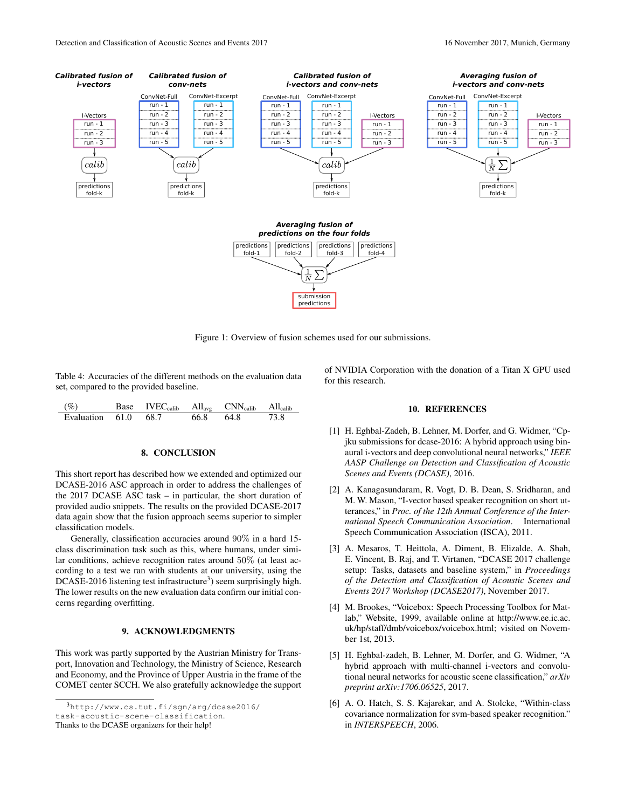

Figure 1: Overview of fusion schemes used for our submissions.

Table 4: Accuracies of the different methods on the evaluation data set, compared to the provided baseline.

| (%)                      | Base IVEC <sub>calib</sub> All <sub>avg</sub> CNN <sub>calib</sub> All <sub>calib</sub> |      |      |      |
|--------------------------|-----------------------------------------------------------------------------------------|------|------|------|
| Evaluation $61.0$ $68.7$ |                                                                                         | 66.8 | 64.8 | 73.8 |

#### 8. CONCLUSION

This short report has described how we extended and optimized our DCASE-2016 ASC approach in order to address the challenges of the 2017 DCASE ASC task – in particular, the short duration of provided audio snippets. The results on the provided DCASE-2017 data again show that the fusion approach seems superior to simpler classification models.

Generally, classification accuracies around 90% in a hard 15 class discrimination task such as this, where humans, under similar conditions, achieve recognition rates around 50% (at least according to a test we ran with students at our university, using the  $DCASE-2016$  listening test infrastructure<sup>3</sup>) seem surprisingly high. The lower results on the new evaluation data confirm our initial concerns regarding overfitting.

# 9. ACKNOWLEDGMENTS

This work was partly supported by the Austrian Ministry for Transport, Innovation and Technology, the Ministry of Science, Research and Economy, and the Province of Upper Austria in the frame of the COMET center SCCH. We also gratefully acknowledge the support

 $3$ http://www.cs.tut.fi/sqn/arg/dcase2016/ task-acoustic-scene-classification.

Thanks to the DCASE organizers for their help!

of NVIDIA Corporation with the donation of a Titan X GPU used for this research.

#### 10. REFERENCES

- [1] H. Eghbal-Zadeh, B. Lehner, M. Dorfer, and G. Widmer, "Cpjku submissions for dcase-2016: A hybrid approach using binaural i-vectors and deep convolutional neural networks," *IEEE AASP Challenge on Detection and Classification of Acoustic Scenes and Events (DCASE)*, 2016.
- [2] A. Kanagasundaram, R. Vogt, D. B. Dean, S. Sridharan, and M. W. Mason, "I-vector based speaker recognition on short utterances," in *Proc. of the 12th Annual Conference of the International Speech Communication Association*. International Speech Communication Association (ISCA), 2011.
- [3] A. Mesaros, T. Heittola, A. Diment, B. Elizalde, A. Shah, E. Vincent, B. Raj, and T. Virtanen, "DCASE 2017 challenge setup: Tasks, datasets and baseline system," in *Proceedings of the Detection and Classification of Acoustic Scenes and Events 2017 Workshop (DCASE2017)*, November 2017.
- [4] M. Brookes, "Voicebox: Speech Processing Toolbox for Matlab," Website, 1999, available online at http://www.ee.ic.ac. uk/hp/staff/dmb/voicebox/voicebox.html; visited on November 1st, 2013.
- [5] H. Eghbal-zadeh, B. Lehner, M. Dorfer, and G. Widmer, "A hybrid approach with multi-channel i-vectors and convolutional neural networks for acoustic scene classification," *arXiv preprint arXiv:1706.06525*, 2017.
- [6] A. O. Hatch, S. S. Kajarekar, and A. Stolcke, "Within-class" covariance normalization for svm-based speaker recognition." in *INTERSPEECH*, 2006.